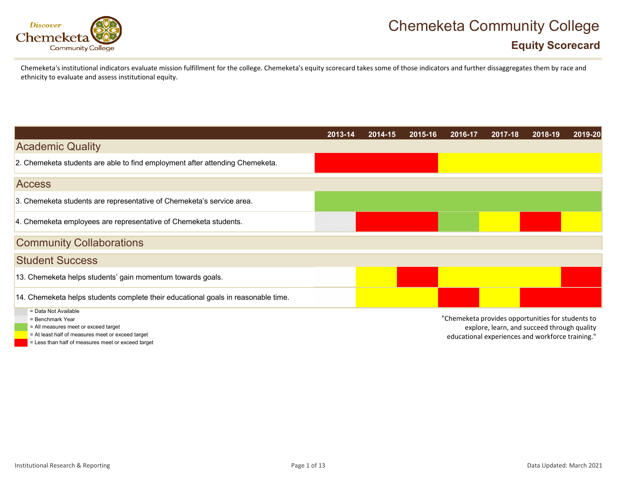

### **Equity Scorecard**

Chemeketa'sinstitutional indicators evaluate mission fulfillment for the college. Chemeketa's equity scorecard takes some of those indicators and further dissaggregates them by race and ethnicity to evaluate and assess institutional equity.

|                                                                                   | 2013-14 | 2014-15 | 2015-16 | 2016-17                                           | 2017-18 | 2018-19 | 2019-20 |
|-----------------------------------------------------------------------------------|---------|---------|---------|---------------------------------------------------|---------|---------|---------|
| <b>Academic Quality</b>                                                           |         |         |         |                                                   |         |         |         |
| 2. Chemeketa students are able to find employment after attending Chemeketa.      |         |         |         |                                                   |         |         |         |
| <b>Access</b>                                                                     |         |         |         |                                                   |         |         |         |
| 3. Chemeketa students are representative of Chemeketa's service area.             |         |         |         |                                                   |         |         |         |
| 4. Chemeketa employees are representative of Chemeketa students.                  |         |         |         |                                                   |         |         |         |
| <b>Community Collaborations</b>                                                   |         |         |         |                                                   |         |         |         |
| <b>Student Success</b>                                                            |         |         |         |                                                   |         |         |         |
| 13. Chemeketa helps students' gain momentum towards goals.                        |         |         |         |                                                   |         |         |         |
| 14. Chemeketa helps students complete their educational goals in reasonable time. |         |         |         |                                                   |         |         |         |
| = Data Not Available<br>= Benchmark Year                                          |         |         |         | "Chemeketa provides opportunities for students to |         |         |         |

= All measures meet or exceed target

- = At least half of measures meet or exceed target
- = Less than half of measures meet or exceed target

explore, learn, and succeed through quality

educational experiences and workforce training."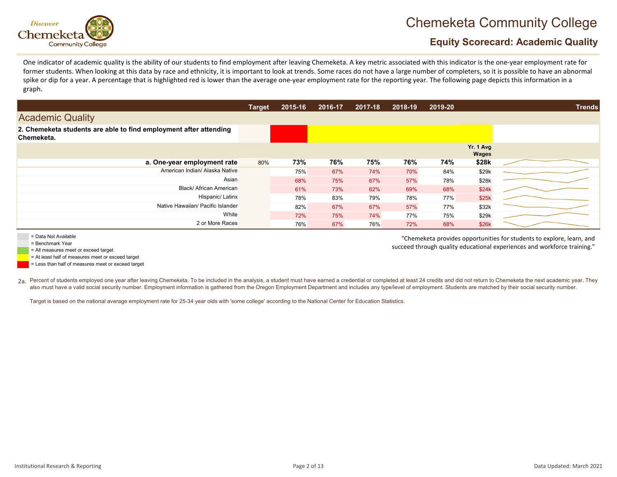

"Chemeketa provides opportunities for students to explore, learn, and succeed through quality educational experiences and workforce training."

### **Equity Scorecard: Academic Quality**

One indicator of academic quality is the ability of our students to find employment after leaving Chemeketa. A key metric associated with this indicator is the one‐year employment rate for former students. When looking at this data by race and ethnicity, it is important to look at trends. Some races do not have a large number of completers, so it is possible to have an abnormal spike or dip for a year. A percentage that is highlighted red is lower than the average one-year employment rate for the reporting year. The following page depicts this information in a graph.

|                                                                                 | <b>Target</b> | 2015-16 | 2016-17 | 2017-18 | 2018-19 | 2019-20 |                    | <b>Trends</b> |
|---------------------------------------------------------------------------------|---------------|---------|---------|---------|---------|---------|--------------------|---------------|
| <b>Academic Quality</b>                                                         |               |         |         |         |         |         |                    |               |
| 2. Chemeketa students are able to find employment after attending<br>Chemeketa. |               |         |         |         |         |         |                    |               |
|                                                                                 |               |         |         |         |         |         | Yr. 1 Avg<br>Wages |               |
| a. One-year employment rate                                                     | 80%           | 73%     | 76%     | 75%     | 76%     | 74%     | \$28k              |               |
| American Indian/ Alaska Native                                                  |               | 75%     | 67%     | 74%     | 70%     | 84%     | \$29k              |               |
| Asian                                                                           |               | 68%     | 75%     | 67%     | 57%     | 78%     | \$28k              |               |
| Black/ African American                                                         |               | 61%     | 73%     | 62%     | 69%     | 68%     | \$24k              |               |
| Hispanic/ Latinx                                                                |               | 78%     | 83%     | 79%     | 78%     | 77%     | \$25k              |               |
| Native Hawaiian/ Pacific Islander                                               |               | 82%     | 67%     | 67%     | 57%     | 77%     | \$32k              |               |
| White                                                                           |               | 72%     | 75%     | 74%     | 77%     | 75%     | \$29k              |               |
| 2 or More Races                                                                 |               | 76%     | 67%     | 76%     | 72%     | 68%     | \$26k              |               |

= Data Not Available

= Benchmark Year

= All measures meet or exceed target

= At least half of measures meet or exceed target

= Less than half of measures meet or exceed target

 $_{\rm 2a}$  Percent of students employed one year after leaving Chemeketa. To be included in the analysis, a student must have earned a credential or completed at least 24 credits and did not return to Chemeketa the next ac also must have a valid social security number. Employment information is gathered from the Oregon Employment Department and includes any type/level of employment. Students are matched by their social security number.

Target is based on the national average employment rate for 25-34 year olds with 'some college' according to the National Center for Education Statistics.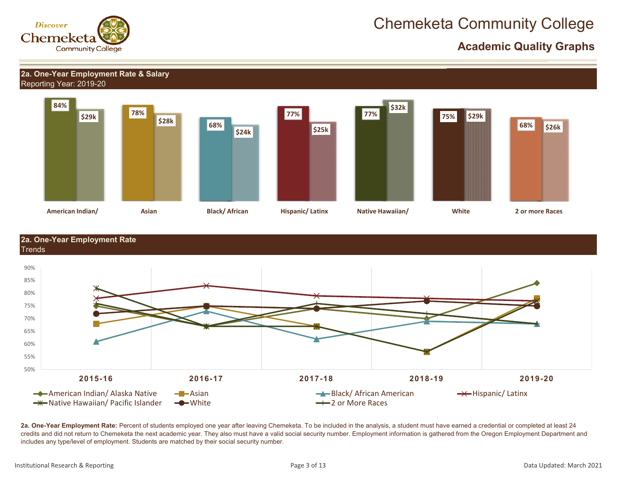

 **Academic Quality Graphs**

#### Reporting Year: 2019-20 **2a. One-Year Employment Rate & Salary**



**2a. One-Year Employment Rate** Trends



**2a. One-Year Employment Rate:** Percent of students employed one year after leaving Chemeketa. To be included in the analysis, a student must have earned a credential or completed at least 24 credits and did not return to Chemeketa the next academic year. They also must have a valid social security number. Employment information is gathered from the Oregon Employment Department and includes any type/level of employment. Students are matched by their social security number.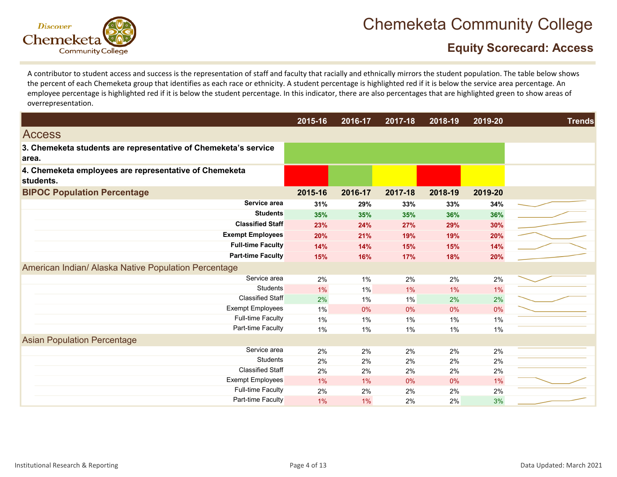

### **Equity Scorecard: Access**

A contributor to student access and success is the representation of staff and faculty that racially and ethnically mirrors the student population. The table below shows the percent of each Chemeketa group that identifies as each race or ethnicity. A student percentage is highlighted red if it is below the service area percentage. An employee percentage is highlighted red if it is below the student percentage. In this indicator, there are also percentages that are highlighted green to show areas of overrepresentation.

|                                                                          | 2015-16 | 2016-17 | 2017-18 | 2018-19 | 2019-20 | <b>Trends</b> |
|--------------------------------------------------------------------------|---------|---------|---------|---------|---------|---------------|
| <b>Access</b>                                                            |         |         |         |         |         |               |
| 3. Chemeketa students are representative of Chemeketa's service<br>area. |         |         |         |         |         |               |
| 4. Chemeketa employees are representative of Chemeketa<br>students.      |         |         |         |         |         |               |
| <b>BIPOC Population Percentage</b>                                       | 2015-16 | 2016-17 | 2017-18 | 2018-19 | 2019-20 |               |
| Service area                                                             | 31%     | 29%     | 33%     | 33%     | 34%     |               |
| <b>Students</b>                                                          | 35%     | 35%     | 35%     | 36%     | 36%     |               |
| <b>Classified Staff</b>                                                  | 23%     | 24%     | 27%     | 29%     | 30%     |               |
| <b>Exempt Employees</b>                                                  | 20%     | 21%     | 19%     | 19%     | 20%     |               |
| <b>Full-time Faculty</b>                                                 | 14%     | 14%     | 15%     | 15%     | 14%     |               |
| <b>Part-time Faculty</b>                                                 | 15%     | 16%     | 17%     | 18%     | 20%     |               |
| American Indian/ Alaska Native Population Percentage                     |         |         |         |         |         |               |
| Service area                                                             | 2%      | 1%      | 2%      | 2%      | 2%      |               |
| <b>Students</b>                                                          | 1%      | 1%      | 1%      | 1%      | 1%      |               |
| <b>Classified Staff</b>                                                  | 2%      | 1%      | $1\%$   | 2%      | 2%      |               |
| <b>Exempt Employees</b>                                                  | 1%      | 0%      | 0%      | 0%      | 0%      |               |
| <b>Full-time Faculty</b>                                                 | 1%      | 1%      | 1%      | $1\%$   | 1%      |               |
| Part-time Faculty                                                        | $1\%$   | 1%      | $1\%$   | 1%      | $1\%$   |               |
| <b>Asian Population Percentage</b>                                       |         |         |         |         |         |               |
| Service area                                                             | 2%      | 2%      | 2%      | 2%      | 2%      |               |
| <b>Students</b>                                                          | 2%      | 2%      | 2%      | 2%      | 2%      |               |
| <b>Classified Staff</b>                                                  | 2%      | 2%      | 2%      | 2%      | 2%      |               |
| <b>Exempt Employees</b>                                                  | 1%      | $1\%$   | 0%      | 0%      | 1%      |               |
| <b>Full-time Faculty</b>                                                 | 2%      | 2%      | 2%      | 2%      | 2%      |               |
| Part-time Faculty                                                        | 1%      | $1\%$   | 2%      | 2%      | 3%      |               |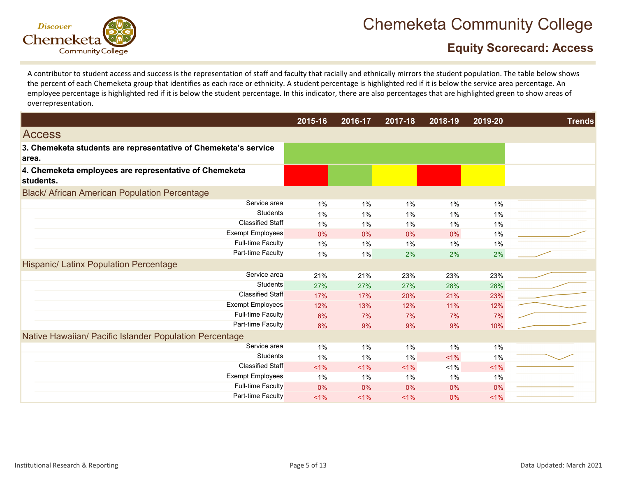

### **Equity Scorecard: Access**

A contributor to student access and success is the representation of staff and faculty that racially and ethnically mirrors the student population. The table below shows the percent of each Chemeketa group that identifies as each race or ethnicity. A student percentage is highlighted red if it is below the service area percentage. An employee percentage is highlighted red if it is below the student percentage. In this indicator, there are also percentages that are highlighted green to show areas of overrepresentation.

|                                                                          | 2015-16 | 2016-17 | 2017-18 | 2018-19 | 2019-20 | <b>Trends</b> |
|--------------------------------------------------------------------------|---------|---------|---------|---------|---------|---------------|
| <b>Access</b>                                                            |         |         |         |         |         |               |
| 3. Chemeketa students are representative of Chemeketa's service<br>area. |         |         |         |         |         |               |
| 4. Chemeketa employees are representative of Chemeketa<br>students.      |         |         |         |         |         |               |
| <b>Black/ African American Population Percentage</b>                     |         |         |         |         |         |               |
| Service area                                                             | 1%      | 1%      | $1\%$   | 1%      | 1%      |               |
| Students                                                                 | 1%      | 1%      | 1%      | $1\%$   | $1\%$   |               |
| <b>Classified Staff</b>                                                  | 1%      | 1%      | 1%      | 1%      | 1%      |               |
| <b>Exempt Employees</b>                                                  | 0%      | 0%      | 0%      | $0\%$   | 1%      |               |
| <b>Full-time Faculty</b>                                                 | 1%      | 1%      | 1%      | 1%      | 1%      |               |
| Part-time Faculty                                                        | 1%      | 1%      | 2%      | 2%      | 2%      |               |
| <b>Hispanic/ Latinx Population Percentage</b>                            |         |         |         |         |         |               |
| Service area                                                             | 21%     | 21%     | 23%     | 23%     | 23%     |               |
| <b>Students</b>                                                          | 27%     | 27%     | 27%     | 28%     | 28%     |               |
| <b>Classified Staff</b>                                                  | 17%     | 17%     | 20%     | 21%     | 23%     |               |
| <b>Exempt Employees</b>                                                  | 12%     | 13%     | 12%     | 11%     | 12%     |               |
| <b>Full-time Faculty</b>                                                 | 6%      | 7%      | 7%      | 7%      | 7%      |               |
| Part-time Faculty                                                        | 8%      | 9%      | 9%      | 9%      | 10%     |               |
| Native Hawaiian/ Pacific Islander Population Percentage                  |         |         |         |         |         |               |
| Service area                                                             | $1\%$   | 1%      | 1%      | 1%      | 1%      |               |
| <b>Students</b>                                                          | 1%      | 1%      | 1%      | $1\%$   | 1%      |               |
| <b>Classified Staff</b>                                                  | 1%      | 1%      | 1%      | 1%      | 1%      |               |
| <b>Exempt Employees</b>                                                  | $1\%$   | 1%      | $1\%$   | $1\%$   | 1%      |               |
| <b>Full-time Faculty</b>                                                 | 0%      | 0%      | 0%      | 0%      | 0%      |               |
| Part-time Faculty                                                        | $1\%$   | $1\%$   | 1%      | 0%      | 1%      |               |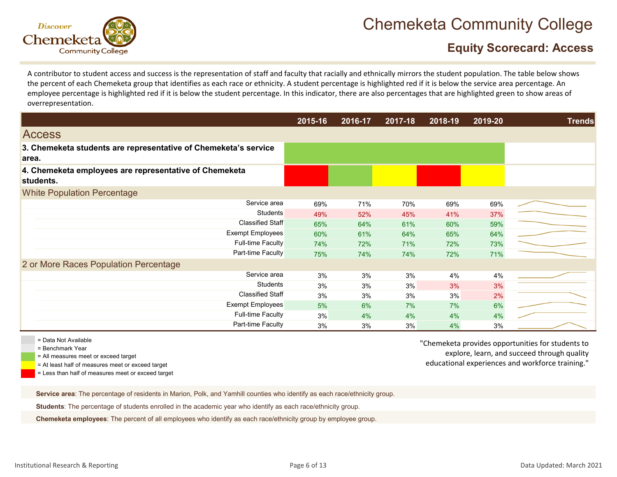

### **Equity Scorecard: Access**

A contributor to student access and success is the representation of staff and faculty that racially and ethnically mirrors the student population. The table below shows the percent of each Chemeketa group that identifies as each race or ethnicity. A student percentage is highlighted red if it is below the service area percentage. An employee percentage is highlighted red if it is below the student percentage. In this indicator, there are also percentages that are highlighted green to show areas of overrepresentation.

|       |                                                                     | 2015-16 | 2016-17 | 2017-18 | 2018-19 | 2019-20 | <b>Trends</b> |
|-------|---------------------------------------------------------------------|---------|---------|---------|---------|---------|---------------|
|       | <b>Access</b>                                                       |         |         |         |         |         |               |
| area. | 3. Chemeketa students are representative of Chemeketa's service     |         |         |         |         |         |               |
|       | 4. Chemeketa employees are representative of Chemeketa<br>students. |         |         |         |         |         |               |
|       | <b>White Population Percentage</b>                                  |         |         |         |         |         |               |
|       | Service area                                                        | 69%     | 71%     | 70%     | 69%     | 69%     |               |
|       | <b>Students</b>                                                     | 49%     | 52%     | 45%     | 41%     | 37%     |               |
|       | Classified Staff                                                    | 65%     | 64%     | 61%     | 60%     | 59%     |               |
|       | <b>Exempt Employees</b>                                             | 60%     | 61%     | 64%     | 65%     | 64%     |               |
|       | <b>Full-time Faculty</b>                                            | 74%     | 72%     | 71%     | 72%     | 73%     |               |
|       | Part-time Faculty                                                   | 75%     | 74%     | 74%     | 72%     | 71%     |               |
|       | 2 or More Races Population Percentage                               |         |         |         |         |         |               |
|       | Service area                                                        | 3%      | 3%      | 3%      | 4%      | 4%      |               |
|       | <b>Students</b>                                                     | 3%      | 3%      | 3%      | 3%      | 3%      |               |
|       | <b>Classified Staff</b>                                             | 3%      | 3%      | 3%      | 3%      | 2%      |               |
|       | Exempt Employees                                                    | 5%      | 6%      | 7%      | 7%      | 6%      |               |
|       | <b>Full-time Faculty</b>                                            | 3%      | 4%      | 4%      | 4%      | 4%      |               |
|       | Part-time Faculty                                                   | 3%      | 3%      | 3%      | 4%      | 3%      |               |

= Data Not Available

= Benchmark Year

= All measures meet or exceed target

= At least half of measures meet or exceed target

= Less than half of measures meet or exceed target

"Chemeketa provides opportunities for students to explore, learn, and succeed through quality educational experiences and workforce training."

**Service area**: The percentage of residents in Marion, Polk, and Yamhill counties who identify as each race/ethnicity group.

**Students**: The percentage of students enrolled in the academic year who identify as each race/ethnicity group.

**Chemeketa employees**: The percent of all employees who identify as each race/ethnicity group by employee group.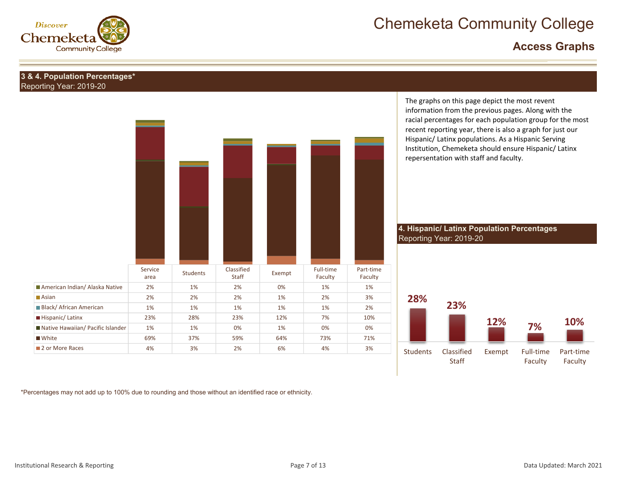

### **Access Graphs**

#### **3 & 4. Population Percentages\*** Reporting Year: 2019-20

|                                   | Service<br>area | Students | Classified<br>Staff | Exempt | Full-time<br>Faculty | Part-time<br>Faculty |
|-----------------------------------|-----------------|----------|---------------------|--------|----------------------|----------------------|
| American Indian/ Alaska Native    | 2%              | 1%       | 2%                  | 0%     | 1%                   | 1%                   |
| Asian                             | 2%              | 2%       | 2%                  | 1%     | 2%                   | 3%                   |
| <b>Black/African American</b>     | 1%              | 1%       | 1%                  | 1%     | 1%                   | 2%                   |
| Hispanic/Latinx                   | 23%             | 28%      | 23%                 | 12%    | 7%                   | 10%                  |
| Native Hawaiian/ Pacific Islander | 1%              | 1%       | 0%                  | 1%     | 0%                   | 0%                   |
| ■ White                           | 69%             | 37%      | 59%                 | 64%    | 73%                  | 71%                  |
| 2 or More Races                   | 4%              | 3%       | 2%                  | 6%     | 4%                   | 3%                   |

The graphs on this page depict the most revent information from the previous pages. Along with the racial percentages for each population group for the most recent reporting year, there is also <sup>a</sup> graph for just our Hispanic/ Latinx populations. As <sup>a</sup> Hispanic Serving Institution, Chemeketa should ensure Hispanic/ Latinx repersentation with staff and faculty.

**4. Hispanic/ Latinx Population Percentages** Reporting Year: 2019-20



\*Percentages may not add up to 100% due to rounding and those without an identified race or ethnicity.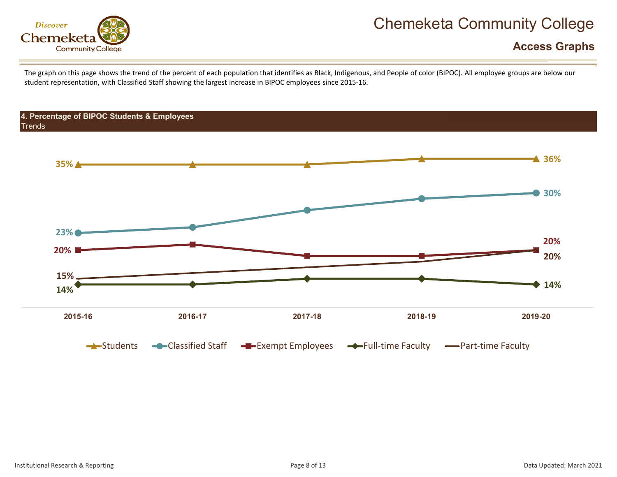

### **Access Graphs**

The graph on this page shows the trend of the percent of each population that identifies as Black, Indigenous, and People of color (BIPOC). All employee groups are below our student representation, with Classified Staff showing the largest increase in BIPOC employees since 2015‐16.

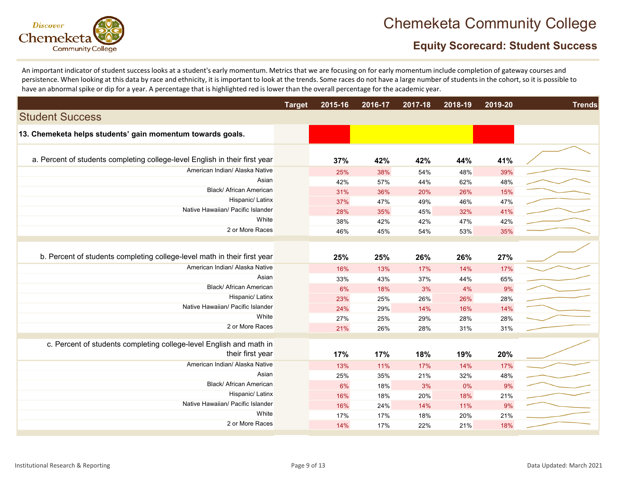

### **Equity Scorecard: Student Success**

An important indicator of student success looks at <sup>a</sup> student's early momentum. Metrics that we are focusing on for early momentum include completion of gateway courses and persistence. When looking at this data by race and ethnicity, it is important to look at the trends. Some races do not have a large number of students in the cohort, so it is possible to have an abnormalspike or dip for <sup>a</sup> year. A percentage that is highlighted red is lower than the overall percentage for the academic year.

|                                                                             | <b>Target</b> | 2015-16    | 2016-17    | 2017-18    | 2018-19    | 2019-20   | <b>Trends</b> |
|-----------------------------------------------------------------------------|---------------|------------|------------|------------|------------|-----------|---------------|
| <b>Student Success</b>                                                      |               |            |            |            |            |           |               |
| 13. Chemeketa helps students' gain momentum towards goals.                  |               |            |            |            |            |           |               |
| a. Percent of students completing college-level English in their first year |               | 37%        | 42%        | 42%        | 44%        | 41%       |               |
| American Indian/ Alaska Native                                              |               | 25%        | 38%        | 54%        | 48%        | 39%       |               |
| Asian                                                                       |               | 42%        | 57%        | 44%        | 62%        | 48%       |               |
| <b>Black/ African American</b>                                              |               | 31%        | 36%        | 20%        | 26%        | 15%       |               |
| Hispanic/ Latinx                                                            |               | 37%        | 47%        | 49%        | 46%        | 47%       |               |
| Native Hawaiian/ Pacific Islander                                           |               | 28%        | 35%        | 45%        | 32%        | 41%       |               |
| White                                                                       |               | 38%        | 42%        | 42%        | 47%        | 42%       |               |
| 2 or More Races                                                             |               | 46%        | 45%        | 54%        | 53%        | 35%       |               |
|                                                                             |               |            |            |            |            |           |               |
| b. Percent of students completing college-level math in their first year    |               | 25%        | 25%        | 26%        | 26%        | 27%       |               |
| American Indian/ Alaska Native                                              |               | 16%        | 13%        | 17%        | 14%        | 17%       |               |
| Asian                                                                       |               | 33%        | 43%        | 37%        | 44%        | 65%       |               |
| Black/ African American                                                     |               | 6%         | 18%        | 3%         | 4%         | 9%        |               |
| Hispanic/ Latinx                                                            |               | 23%        | 25%        | 26%        | 26%        | 28%       |               |
| Native Hawaiian/ Pacific Islander                                           |               | 24%        | 29%        | 14%        | 16%        | 14%       |               |
| White                                                                       |               | 27%        | 25%        | 29%        | 28%        | 28%       |               |
| 2 or More Races                                                             |               | 21%        | 26%        | 28%        | 31%        | 31%       |               |
| c. Percent of students completing college-level English and math in         |               |            |            |            |            |           |               |
| their first year                                                            |               | 17%        | 17%        | 18%        | 19%        | 20%       |               |
| American Indian/ Alaska Native                                              |               |            |            |            |            |           |               |
| Asian                                                                       |               | 13%        | 11%        | 17%        | 14%        | 17%       |               |
| <b>Black/ African American</b>                                              |               | 25%        | 35%        | 21%        | 32%        | 48%       |               |
| Hispanic/ Latinx                                                            |               | 6%         | 18%        | 3%         | 0%         | 9%        |               |
| Native Hawaiian/ Pacific Islander                                           |               | 16%<br>16% | 18%<br>24% | 20%<br>14% | 18%        | 21%<br>9% |               |
| White                                                                       |               | 17%        | 17%        | 18%        | 11%<br>20% | 21%       |               |
| 2 or More Races                                                             |               |            |            |            |            | 18%       |               |
|                                                                             |               | 14%        | 17%        | 22%        | 21%        |           |               |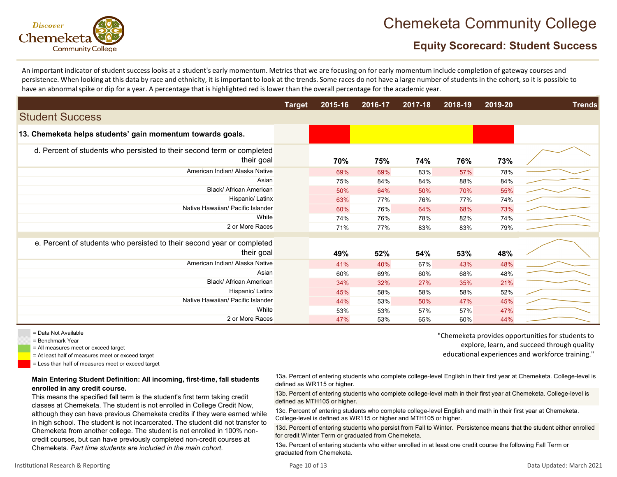

### **Equity Scorecard: Student Success**

An important indicator of student success looks at <sup>a</sup> student's early momentum. Metrics that we are focusing on for early momentum include completion of gateway courses and persistence. When looking at this data by race and ethnicity, it is important to look at the trends. Some races do not have a large number of students in the cohort, so it is possible to have an abnormalspike or dip for <sup>a</sup> year. A percentage that is highlighted red is lower than the overall percentage for the academic year.

|                                                                                      | <b>Target</b> | 2015-16 | 2016-17 | $2017 - 18$ | $2018 - 19$ | 2019-20 | <b>Trends</b> |
|--------------------------------------------------------------------------------------|---------------|---------|---------|-------------|-------------|---------|---------------|
| <b>Student Success</b>                                                               |               |         |         |             |             |         |               |
| 13. Chemeketa helps students' gain momentum towards goals.                           |               |         |         |             |             |         |               |
| d. Percent of students who persisted to their second term or completed<br>their goal |               | 70%     | 75%     | 74%         | 76%         | 73%     |               |
| American Indian/ Alaska Native                                                       |               | 69%     | 69%     | 83%         | 57%         | 78%     |               |
| Asian                                                                                |               | 75%     | 84%     | 84%         | 88%         | 84%     |               |
| Black/ African American                                                              |               | 50%     | 64%     | 50%         | 70%         | 55%     |               |
| Hispanic/ Latinx                                                                     |               | 63%     | 77%     | 76%         | 77%         | 74%     |               |
| Native Hawaiian/ Pacific Islander                                                    |               | 60%     | 76%     | 64%         | 68%         | 73%     |               |
| White                                                                                |               | 74%     | 76%     | 78%         | 82%         | 74%     |               |
| 2 or More Races                                                                      |               | 71%     | 77%     | 83%         | 83%         | 79%     |               |
| e. Percent of students who persisted to their second year or completed<br>their goal |               | 49%     | 52%     | 54%         | 53%         | 48%     |               |
| American Indian/ Alaska Native                                                       |               | 41%     | 40%     | 67%         | 43%         | 48%     |               |
| Asian                                                                                |               | 60%     | 69%     | 60%         | 68%         | 48%     |               |
| Black/ African American                                                              |               | 34%     | 32%     | 27%         | 35%         | 21%     |               |
| Hispanic/ Latinx                                                                     |               | 45%     | 58%     | 58%         | 58%         | 52%     |               |
| Native Hawaiian/ Pacific Islander                                                    |               | 44%     | 53%     | 50%         | 47%         | 45%     |               |
| White                                                                                |               | 53%     | 53%     | 57%         | 57%         | 47%     |               |
| 2 or More Races                                                                      |               | 47%     | 53%     | 65%         | 60%         | 44%     |               |

= Data Not Available

- = Benchmark Year
- = All measures meet or exceed target
- = At least half of measures meet or exceed target
- = Less than half of measures meet or exceed target

#### **Main Entering Student Definition: All incoming, first-time, fall students enrolled in any credit course.**

This means the specified fall term is the student's first term taking credit classes at Chemeketa. The student is not enrolled in College Credit Now, although they can have previous Chemeketa credits if they were earned while in high school. The student is not incarcerated. The student did not transfer to Chemeketa from another college. The student is not enrolled in 100% noncredit courses, but can have previously completed non-credit courses at Chemeketa. *Part time students are included in the main cohort.*

"Chemeketa provides opportunities for students to explore, learn, and succeed through quality educational experiences and workforce training."

13a. Percent of entering students who complete college-level English in their first year at Chemeketa. College-level is defined as WR115 or higher.

13b. Percent of entering students who complete college-level math in their first year at Chemeketa. College-level is defined as MTH105 or higher.

13c. Percent of entering students who complete college-level English and math in their first year at Chemeketa. College-level is defined as WR115 or higher and MTH105 or higher.

13d. Percent of entering students who persist from Fall to Winter. Persistence means that the student either enrolled for credit Winter Term or graduated from Chemeketa.

13e. Percent of entering students who either enrolled in at least one credit course the following Fall Term or graduated from Chemeketa.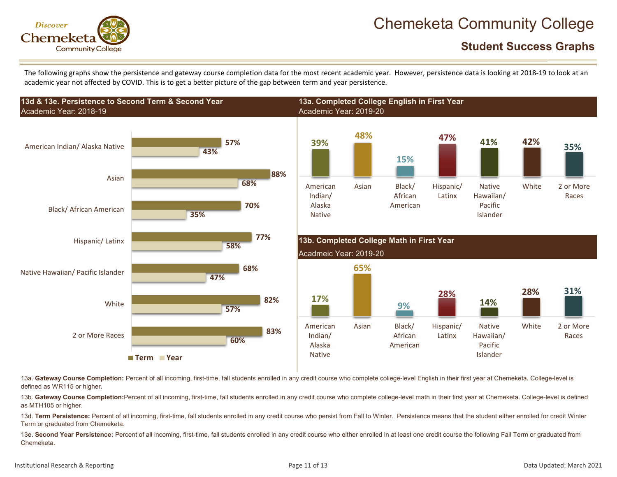

**Student Success Graphs**

The following graphs show the persistence and gateway course completion data for the most recent academic year. However, persistence data is looking at 2018‐19 to look at an academic year not affected by COVID. This is to get <sup>a</sup> better picture of the gap between term and year persistence.



13a. Gateway Course Completion: Percent of all incoming, first-time, fall students enrolled in any credit course who complete college-level English in their first year at Chemeketa. College-level is defined as WR115 or higher.

13b. Gateway Course Completion:Percent of all incoming, first-time, fall students enrolled in any credit course who complete college-level math in their first year at Chemeketa. College-level is defined as MTH105 or higher.

13d. **Term Persistence:** Percent of all incoming, first-time, fall students enrolled in any credit course who persist from Fall to Winter. Persistence means that the student either enrolled for credit Winter Term or graduated from Chemeketa.

13e. **Second Year Persistence:** Percent of all incoming, first-time, fall students enrolled in any credit course who either enrolled in at least one credit course the following Fall Term or graduated from Chemeketa.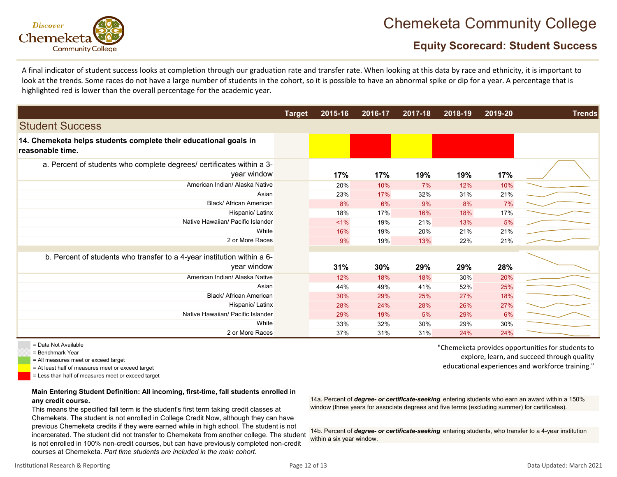

### **Equity Scorecard: Student Success**

A final indicator of student success looks at completion through our graduation rate and transfer rate. When looking at this data by race and ethnicity, it is important to look at the trends. Some races do not have a large number of students in the cohort, so it is possible to have an abnormal spike or dip for a year. A percentage that is highlighted red is lower than the overall percentage for the academic year.

|                                                                                        | <b>Target</b> | 2015-16 | 2016-17 | 2017-18 | 2018-19 | 2019-20 | <b>Trends</b> |
|----------------------------------------------------------------------------------------|---------------|---------|---------|---------|---------|---------|---------------|
| <b>Student Success</b>                                                                 |               |         |         |         |         |         |               |
| 14. Chemeketa helps students complete their educational goals in<br>reasonable time.   |               |         |         |         |         |         |               |
| a. Percent of students who complete degrees/ certificates within a 3-<br>year window   |               | 17%     | 17%     | 19%     | 19%     | 17%     |               |
| American Indian/ Alaska Native                                                         |               | 20%     | 10%     | 7%      | 12%     | 10%     |               |
| Asian                                                                                  |               | 23%     | 17%     | 32%     | 31%     | 21%     |               |
| Black/ African American                                                                |               | 8%      | 6%      | 9%      | 8%      | 7%      |               |
| Hispanic/ Latinx                                                                       |               | 18%     | 17%     | 16%     | 18%     | 17%     |               |
| Native Hawaiian/ Pacific Islander                                                      |               | $1\%$   | 19%     | 21%     | 13%     | 5%      |               |
| White                                                                                  |               | 16%     | 19%     | 20%     | 21%     | 21%     |               |
| 2 or More Races                                                                        |               | 9%      | 19%     | 13%     | 22%     | 21%     |               |
| b. Percent of students who transfer to a 4-year institution within a 6-<br>year window |               | 31%     | 30%     | 29%     | 29%     | 28%     |               |
| American Indian/ Alaska Native                                                         |               | 12%     | 18%     | 18%     | 30%     | 20%     |               |
| Asian                                                                                  |               | 44%     | 49%     | 41%     | 52%     | 25%     |               |
| <b>Black/African American</b>                                                          |               | 30%     | 29%     | 25%     | 27%     | 18%     |               |
| Hispanic/ Latinx                                                                       |               | 28%     | 24%     | 28%     | 26%     | 27%     |               |
| Native Hawaiian/ Pacific Islander                                                      |               | 29%     | 19%     | 5%      | 29%     | 6%      |               |
| White                                                                                  |               | 33%     | 32%     | 30%     | 29%     | 30%     |               |
| 2 or More Races                                                                        |               | 37%     | 31%     | 31%     | 24%     | 24%     |               |

= Data Not Available

= Benchmark Year

= All measures meet or exceed target

= At least half of measures meet or exceed target

= Less than half of measures meet or exceed target

#### **Main Entering Student Definition: All incoming, first-time, fall students enrolled in any credit course.**

This means the specified fall term is the student's first term taking credit classes at Chemeketa. The student is not enrolled in College Credit Now, although they can have previous Chemeketa credits if they were earned while in high school. The student is not incarcerated. The student did not transfer to Chemeketa from another college. The student is not enrolled in 100% non-credit courses, but can have previously completed non-credit courses at Chemeketa. *Part time students are included in the main cohort.*

"Chemeketa provides opportunities for students to explore, learn, and succeed through quality educational experiences and workforce training."

14a. Percent of *degree- or certificate-seeking* entering students who earn an award within a 150% window (three years for associate degrees and five terms (excluding summer) for certificates).

14b. Percent of *degree- or certificate-seeking* entering students, who transfer to a 4-year institution within a six year window.